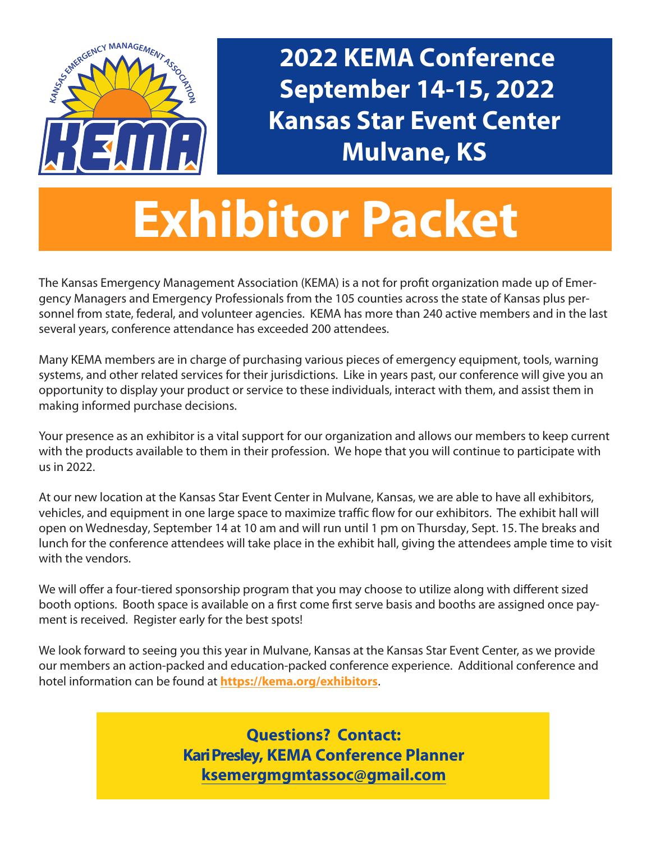

**2022 KEMA Conference September 14-15, 2022 Kansas Star Event Center Mulvane, KS**

# **Exhibitor Packet**

The Kansas Emergency Management Association (KEMA) is a not for profit organization made up of Emergency Managers and Emergency Professionals from the 105 counties across the state of Kansas plus personnel from state, federal, and volunteer agencies. KEMA has more than 240 active members and in the last several years, conference attendance has exceeded 200 attendees.

Many KEMA members are in charge of purchasing various pieces of emergency equipment, tools, warning systems, and other related services for their jurisdictions. Like in years past, our conference will give you an opportunity to display your product or service to these individuals, interact with them, and assist them in making informed purchase decisions.

Your presence as an exhibitor is a vital support for our organization and allows our members to keep current with the products available to them in their profession. We hope that you will continue to participate with us in 2022.

At our new location at the Kansas Star Event Center in Mulvane, Kansas, we are able to have all exhibitors, vehicles, and equipment in one large space to maximize traffic flow for our exhibitors. The exhibit hall will open on Wednesday, September 14 at 10 am and will run until 1 pm on Thursday, Sept. 15. The breaks and lunch for the conference attendees will take place in the exhibit hall, giving the attendees ample time to visit with the vendors.

We will offer a four-tiered sponsorship program that you may choose to utilize along with different sized booth options. Booth space is available on a first come first serve basis and booths are assigned once payment is received. Register early for the best spots!

We look forward to seeing you this year in Mulvane, Kansas at the Kansas Star Event Center, as we provide our members an action-packed and education-packed conference experience. Additional conference and hotel information can be found at **https://kema.org/exhibitors**.

> **Questions? Contact: Kari Presley, KEMA Conference Planner ksemergmgmtassoc@gmail.com**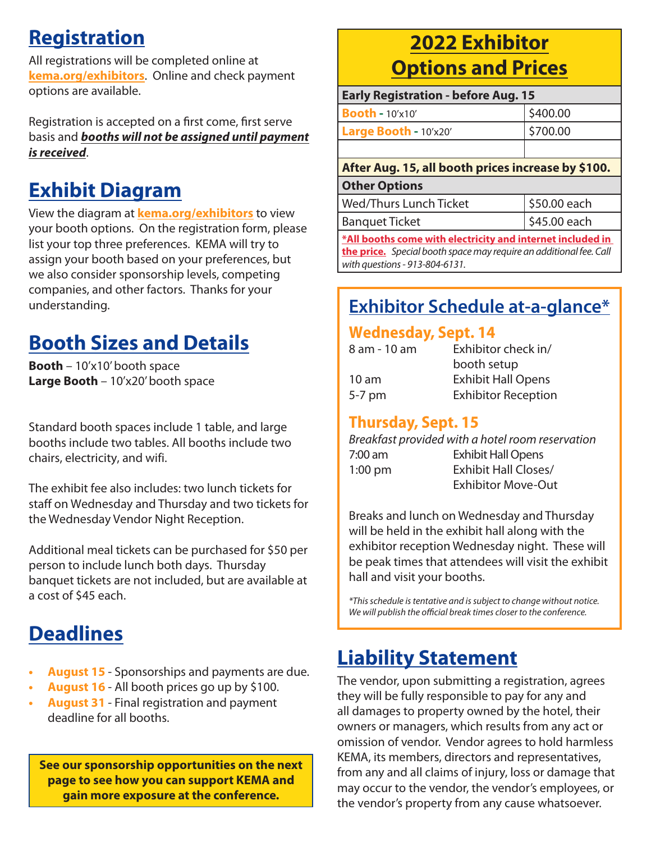## **Registration**

All registrations will be completed online at **kema.org/exhibitors**. Online and check payment options are available.

Registration is accepted on a first come, first serve basis and *booths will not be assigned until payment is received*.

## **Exhibit Diagram**

View the diagram at **kema.org/exhibitors** to view your booth options. On the registration form, please list your top three preferences. KEMA will try to assign your booth based on your preferences, but we also consider sponsorship levels, competing companies, and other factors. Thanks for your understanding.

## **Booth Sizes and Details**

**Booth** – 10'x10' booth space **Large Booth** – 10'x20' booth space

Standard booth spaces include 1 table, and large booths include two tables. All booths include two chairs, electricity, and wifi.

The exhibit fee also includes: two lunch tickets for staff on Wednesday and Thursday and two tickets for the Wednesday Vendor Night Reception.

Additional meal tickets can be purchased for \$50 per person to include lunch both days. Thursday banquet tickets are not included, but are available at a cost of \$45 each.

## **Deadlines**

- **• August 15** Sponsorships and payments are due.
- **• August 16** All booth prices go up by \$100.
- **• August 31** Final registration and payment deadline for all booths.

**See our sponsorship opportunities on the next page to see how you can support KEMA and gain more exposure at the conference.**

### **2022 Exhibitor Options and Prices**

| <b>Early Registration - before Aug. 15</b> |          |  |
|--------------------------------------------|----------|--|
| <b>Booth - 10'x10'</b>                     | \$400.00 |  |
| Large Booth - 10'x20'                      | \$700.00 |  |
|                                            |          |  |

### **After Aug. 15, all booth prices increase by \$100.**

### **Other Options**

| Wed/Thurs Lunch Ticket                                                                                    | 550.00 each  |
|-----------------------------------------------------------------------------------------------------------|--------------|
| <b>Banquet Ticket</b>                                                                                     | \$45.00 each |
| <b>BAR Hills and all and and a study of a started and and a final started and a final started and the</b> |              |

**\*All booths come with electricity and internet included in the price.** *Special booth space may require an additional fee. Call with questions - 913-804-6131.*

### **Exhibitor Schedule at-a-glance\***

### **Wednesday, Sept. 14**

| 8 am - 10 am     | Exhibitor check in/        |
|------------------|----------------------------|
|                  | booth setup                |
| 10 <sub>am</sub> | <b>Exhibit Hall Opens</b>  |
| $5-7$ pm         | <b>Exhibitor Reception</b> |
|                  |                            |

### **Thursday, Sept. 15**

|                   | Breakfast provided with a hotel room reservation |
|-------------------|--------------------------------------------------|
| 7:00 am           | <b>Exhibit Hall Opens</b>                        |
| $1:00 \text{ pm}$ | <b>Exhibit Hall Closes/</b>                      |
|                   | <b>Exhibitor Move-Out</b>                        |
|                   |                                                  |

Breaks and lunch on Wednesday and Thursday will be held in the exhibit hall along with the exhibitor reception Wednesday night. These will be peak times that attendees will visit the exhibit hall and visit your booths.

*\*This schedule is tentative and is subject to change without notice. We will publish the official break times closer to the conference.*

## **Liability Statement**

The vendor, upon submitting a registration, agrees they will be fully responsible to pay for any and all damages to property owned by the hotel, their owners or managers, which results from any act or omission of vendor. Vendor agrees to hold harmless KEMA, its members, directors and representatives, from any and all claims of injury, loss or damage that may occur to the vendor, the vendor's employees, or the vendor's property from any cause whatsoever.